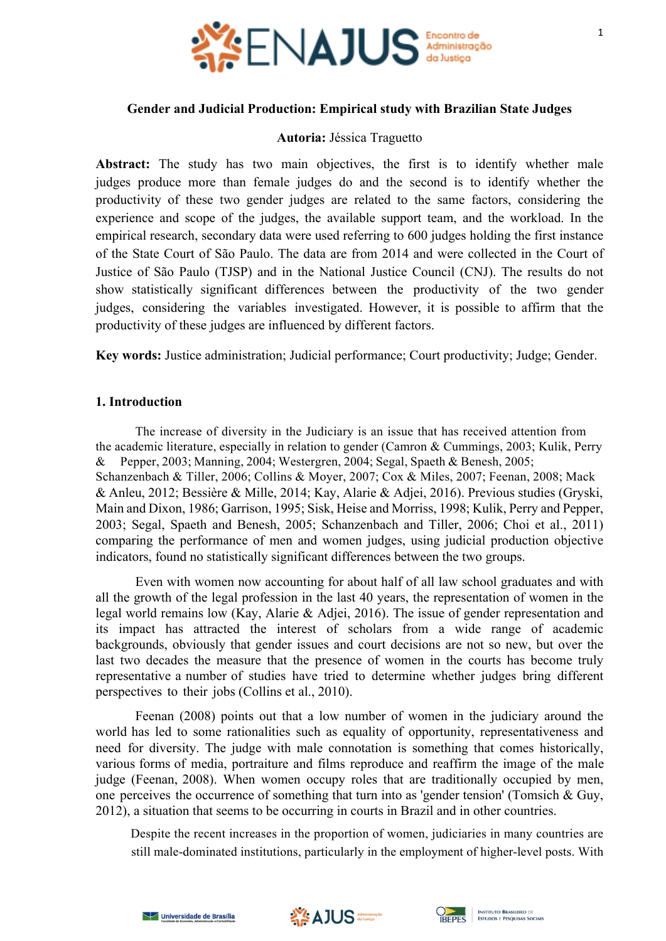

## **Gender and Judicial Production: Empirical study with Brazilian State Judges**

#### **Autoria:** Jéssica Traguetto

**Abstract:** The study has two main objectives, the first is to identify whether male judges produce more than female judges do and the second is to identify whether the productivity of these two gender judges are related to the same factors, considering the experience and scope of the judges, the available support team, and the workload. In the empirical research, secondary data were used referring to 600 judges holding the first instance of the State Court of São Paulo. The data are from 2014 and were collected in the Court of Justice of São Paulo (TJSP) and in the National Justice Council (CNJ). The results do not show statistically significant differences between the productivity of the two gender judges, considering the variables investigated. However, it is possible to affirm that the productivity of these judges are influenced by different factors.

**Key words:** Justice administration; Judicial performance; Court productivity; Judge; Gender.

## **1. Introduction**

The increase of diversity in the Judiciary is an issue that has received attention from the academic literature, especially in relation to gender (Camron & Cummings, 2003; Kulik, Perry & Pepper, 2003; Manning, 2004; Westergren, 2004; Segal, Spaeth & Benesh, 2005; Schanzenbach & Tiller, 2006; Collins & Moyer, 2007; Cox & Miles, 2007; Feenan, 2008; Mack & Anleu, 2012; Bessière & Mille, 2014; Kay, Alarie & Adjei, 2016). Previous studies (Gryski, Main and Dixon, 1986; Garrison, 1995; Sisk, Heise and Morriss, 1998; Kulik, Perry and Pepper, 2003; Segal, Spaeth and Benesh, 2005; Schanzenbach and Tiller, 2006; Choi et al., 2011) comparing the performance of men and women judges, using judicial production objective indicators, found no statistically significant differences between the two groups.

Even with women now accounting for about half of all law school graduates and with all the growth of the legal profession in the last 40 years, the representation of women in the legal world remains low (Kay, Alarie & Adjei, 2016). The issue of gender representation and its impact has attracted the interest of scholars from a wide range of academic backgrounds, obviously that gender issues and court decisions are not so new, but over the last two decades the measure that the presence of women in the courts has become truly representative a number of studies have tried to determine whether judges bring different perspectives to their jobs (Collins et al., 2010).

Feenan (2008) points out that a low number of women in the judiciary around the world has led to some rationalities such as equality of opportunity, representativeness and need for diversity. The judge with male connotation is something that comes historically, various forms of media, portraiture and films reproduce and reaffirm the image of the male judge (Feenan, 2008). When women occupy roles that are traditionally occupied by men, one perceives the occurrence of something that turn into as 'gender tension' (Tomsich  $\&$  Guy, 2012), a situation that seems to be occurring in courts in Brazil and in other countries.

Despite the recent increases in the proportion of women, judiciaries in many countries are still male-dominated institutions, particularly in the employment of higher-level posts. With





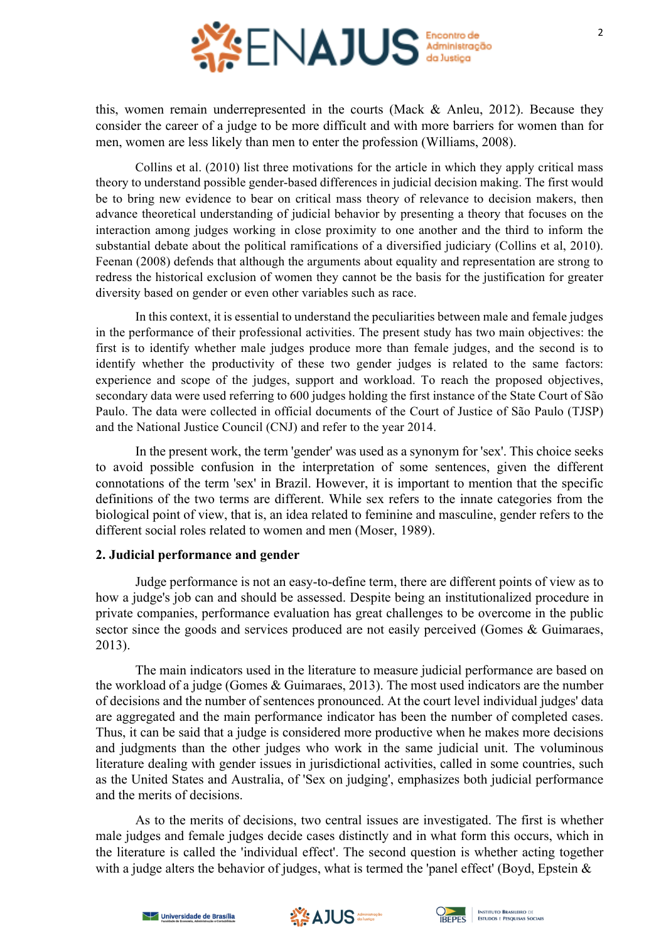

this, women remain underrepresented in the courts (Mack & Anleu, 2012). Because they consider the career of a judge to be more difficult and with more barriers for women than for men, women are less likely than men to enter the profession (Williams, 2008).

Collins et al. (2010) list three motivations for the article in which they apply critical mass theory to understand possible gender-based differences in judicial decision making. The first would be to bring new evidence to bear on critical mass theory of relevance to decision makers, then advance theoretical understanding of judicial behavior by presenting a theory that focuses on the interaction among judges working in close proximity to one another and the third to inform the substantial debate about the political ramifications of a diversified judiciary (Collins et al, 2010). Feenan (2008) defends that although the arguments about equality and representation are strong to redress the historical exclusion of women they cannot be the basis for the justification for greater diversity based on gender or even other variables such as race.

In this context, it is essential to understand the peculiarities between male and female judges in the performance of their professional activities. The present study has two main objectives: the first is to identify whether male judges produce more than female judges, and the second is to identify whether the productivity of these two gender judges is related to the same factors: experience and scope of the judges, support and workload. To reach the proposed objectives, secondary data were used referring to 600 judges holding the first instance of the State Court of São Paulo. The data were collected in official documents of the Court of Justice of São Paulo (TJSP) and the National Justice Council (CNJ) and refer to the year 2014.

In the present work, the term 'gender' was used as a synonym for 'sex'. This choice seeks to avoid possible confusion in the interpretation of some sentences, given the different connotations of the term 'sex' in Brazil. However, it is important to mention that the specific definitions of the two terms are different. While sex refers to the innate categories from the biological point of view, that is, an idea related to feminine and masculine, gender refers to the different social roles related to women and men (Moser, 1989).

### **2. Judicial performance and gender**

Judge performance is not an easy-to-define term, there are different points of view as to how a judge's job can and should be assessed. Despite being an institutionalized procedure in private companies, performance evaluation has great challenges to be overcome in the public sector since the goods and services produced are not easily perceived (Gomes & Guimaraes, 2013).

The main indicators used in the literature to measure judicial performance are based on the workload of a judge (Gomes & Guimaraes, 2013). The most used indicators are the number of decisions and the number of sentences pronounced. At the court level individual judges' data are aggregated and the main performance indicator has been the number of completed cases. Thus, it can be said that a judge is considered more productive when he makes more decisions and judgments than the other judges who work in the same judicial unit. The voluminous literature dealing with gender issues in jurisdictional activities, called in some countries, such as the United States and Australia, of 'Sex on judging', emphasizes both judicial performance and the merits of decisions.

As to the merits of decisions, two central issues are investigated. The first is whether male judges and female judges decide cases distinctly and in what form this occurs, which in the literature is called the 'individual effect'. The second question is whether acting together with a judge alters the behavior of judges, what is termed the 'panel effect' (Boyd, Epstein  $\&$ 





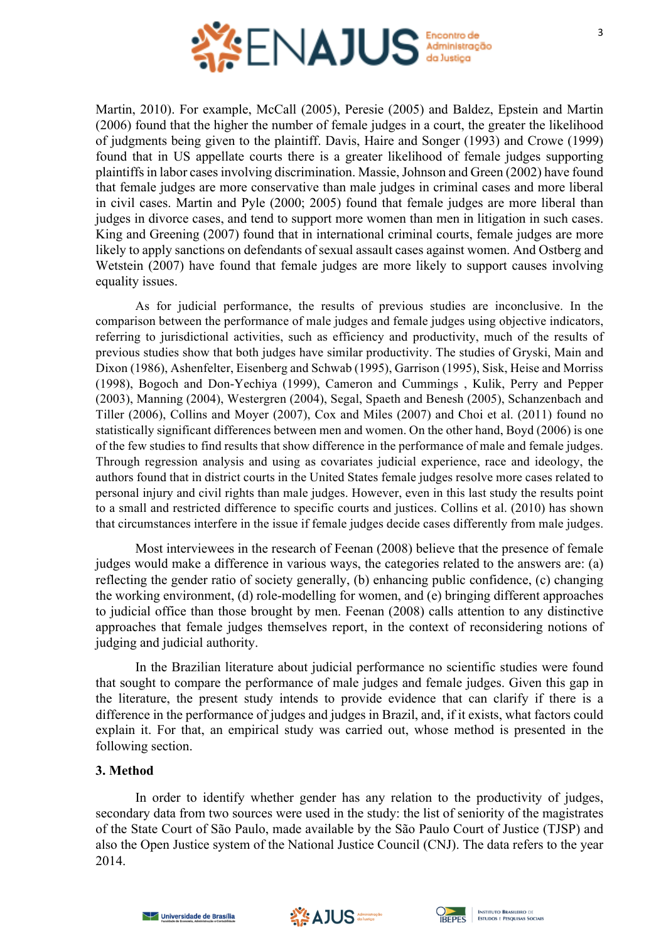

Martin, 2010). For example, McCall (2005), Peresie (2005) and Baldez, Epstein and Martin (2006) found that the higher the number of female judges in a court, the greater the likelihood of judgments being given to the plaintiff. Davis, Haire and Songer (1993) and Crowe (1999) found that in US appellate courts there is a greater likelihood of female judges supporting plaintiffs in labor cases involving discrimination. Massie, Johnson and Green (2002) have found that female judges are more conservative than male judges in criminal cases and more liberal in civil cases. Martin and Pyle (2000; 2005) found that female judges are more liberal than judges in divorce cases, and tend to support more women than men in litigation in such cases. King and Greening (2007) found that in international criminal courts, female judges are more likely to apply sanctions on defendants of sexual assault cases against women. And Ostberg and Wetstein (2007) have found that female judges are more likely to support causes involving equality issues.

As for judicial performance, the results of previous studies are inconclusive. In the comparison between the performance of male judges and female judges using objective indicators, referring to jurisdictional activities, such as efficiency and productivity, much of the results of previous studies show that both judges have similar productivity. The studies of Gryski, Main and Dixon (1986), Ashenfelter, Eisenberg and Schwab (1995), Garrison (1995), Sisk, Heise and Morriss (1998), Bogoch and Don-Yechiya (1999), Cameron and Cummings , Kulik, Perry and Pepper (2003), Manning (2004), Westergren (2004), Segal, Spaeth and Benesh (2005), Schanzenbach and Tiller (2006), Collins and Moyer (2007), Cox and Miles (2007) and Choi et al. (2011) found no statistically significant differences between men and women. On the other hand, Boyd (2006) is one of the few studies to find results that show difference in the performance of male and female judges. Through regression analysis and using as covariates judicial experience, race and ideology, the authors found that in district courts in the United States female judges resolve more cases related to personal injury and civil rights than male judges. However, even in this last study the results point to a small and restricted difference to specific courts and justices. Collins et al. (2010) has shown that circumstances interfere in the issue if female judges decide cases differently from male judges.

Most interviewees in the research of Feenan (2008) believe that the presence of female judges would make a difference in various ways, the categories related to the answers are: (a) reflecting the gender ratio of society generally, (b) enhancing public confidence, (c) changing the working environment, (d) role-modelling for women, and (e) bringing different approaches to judicial office than those brought by men. Feenan (2008) calls attention to any distinctive approaches that female judges themselves report, in the context of reconsidering notions of judging and judicial authority.

In the Brazilian literature about judicial performance no scientific studies were found that sought to compare the performance of male judges and female judges. Given this gap in the literature, the present study intends to provide evidence that can clarify if there is a difference in the performance of judges and judges in Brazil, and, if it exists, what factors could explain it. For that, an empirical study was carried out, whose method is presented in the following section.

## **3. Method**

In order to identify whether gender has any relation to the productivity of judges, secondary data from two sources were used in the study: the list of seniority of the magistrates of the State Court of São Paulo, made available by the São Paulo Court of Justice (TJSP) and also the Open Justice system of the National Justice Council (CNJ). The data refers to the year 2014.





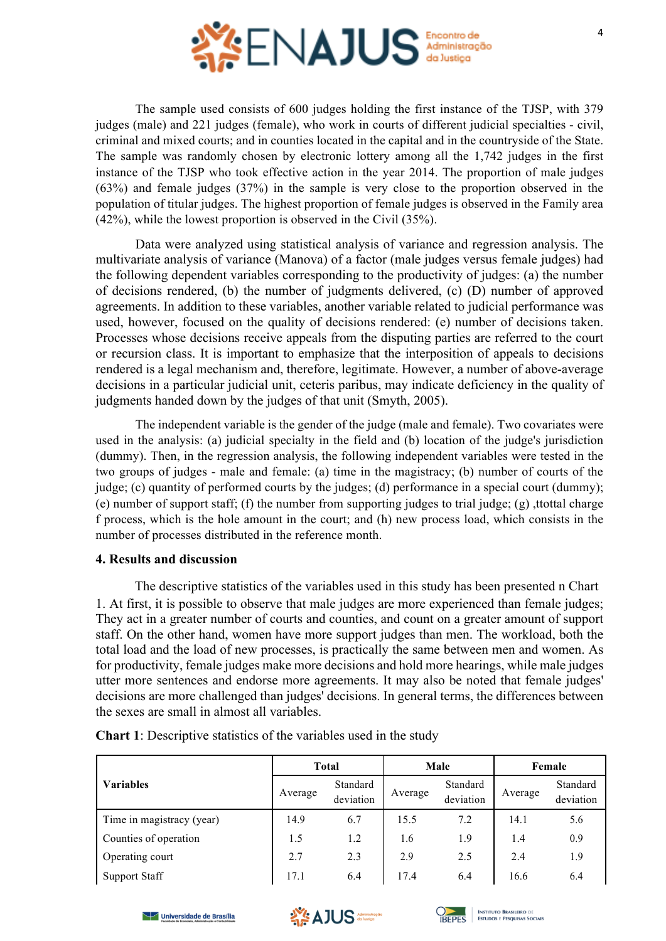

4

The sample used consists of 600 judges holding the first instance of the TJSP, with 379 judges (male) and 221 judges (female), who work in courts of different judicial specialties - civil, criminal and mixed courts; and in counties located in the capital and in the countryside of the State. The sample was randomly chosen by electronic lottery among all the 1,742 judges in the first instance of the TJSP who took effective action in the year 2014. The proportion of male judges (63%) and female judges (37%) in the sample is very close to the proportion observed in the population of titular judges. The highest proportion of female judges is observed in the Family area (42%), while the lowest proportion is observed in the Civil (35%).

Data were analyzed using statistical analysis of variance and regression analysis. The multivariate analysis of variance (Manova) of a factor (male judges versus female judges) had the following dependent variables corresponding to the productivity of judges: (a) the number of decisions rendered, (b) the number of judgments delivered, (c) (D) number of approved agreements. In addition to these variables, another variable related to judicial performance was used, however, focused on the quality of decisions rendered: (e) number of decisions taken. Processes whose decisions receive appeals from the disputing parties are referred to the court or recursion class. It is important to emphasize that the interposition of appeals to decisions rendered is a legal mechanism and, therefore, legitimate. However, a number of above-average decisions in a particular judicial unit, ceteris paribus, may indicate deficiency in the quality of judgments handed down by the judges of that unit (Smyth, 2005).

The independent variable is the gender of the judge (male and female). Two covariates were used in the analysis: (a) judicial specialty in the field and (b) location of the judge's jurisdiction (dummy). Then, in the regression analysis, the following independent variables were tested in the two groups of judges - male and female: (a) time in the magistracy; (b) number of courts of the judge; (c) quantity of performed courts by the judges; (d) performance in a special court (dummy); (e) number of support staff; (f) the number from supporting judges to trial judge; (g) ,ttottal charge f process, which is the hole amount in the court; and (h) new process load, which consists in the number of processes distributed in the reference month.

# **4. Results and discussion**

The descriptive statistics of the variables used in this study has been presented n Chart 1. At first, it is possible to observe that male judges are more experienced than female judges; They act in a greater number of courts and counties, and count on a greater amount of support staff. On the other hand, women have more support judges than men. The workload, both the total load and the load of new processes, is practically the same between men and women. As for productivity, female judges make more decisions and hold more hearings, while male judges utter more sentences and endorse more agreements. It may also be noted that female judges' decisions are more challenged than judges' decisions. In general terms, the differences between the sexes are small in almost all variables.

|                           | <b>Total</b> |                       | Male    |                       | Female  |                       |
|---------------------------|--------------|-----------------------|---------|-----------------------|---------|-----------------------|
| <b>Variables</b>          | Average      | Standard<br>deviation | Average | Standard<br>deviation | Average | Standard<br>deviation |
| Time in magistracy (year) | 14.9         | 6.7                   | 15.5    | 7.2                   | 14.1    | 5.6                   |
| Counties of operation     | 1.5          | 1.2                   | 1.6     | 1.9                   | 1.4     | 0.9                   |
| Operating court           | 2.7          | 2.3                   | 2.9     | 2.5                   | 2.4     | 1.9                   |
| <b>Support Staff</b>      | 17.1         | 6.4                   | 17.4    | 6.4                   | 16.6    | 6.4                   |

|  |  |  | <b>Chart 1:</b> Descriptive statistics of the variables used in the study |  |  |
|--|--|--|---------------------------------------------------------------------------|--|--|
|  |  |  |                                                                           |  |  |





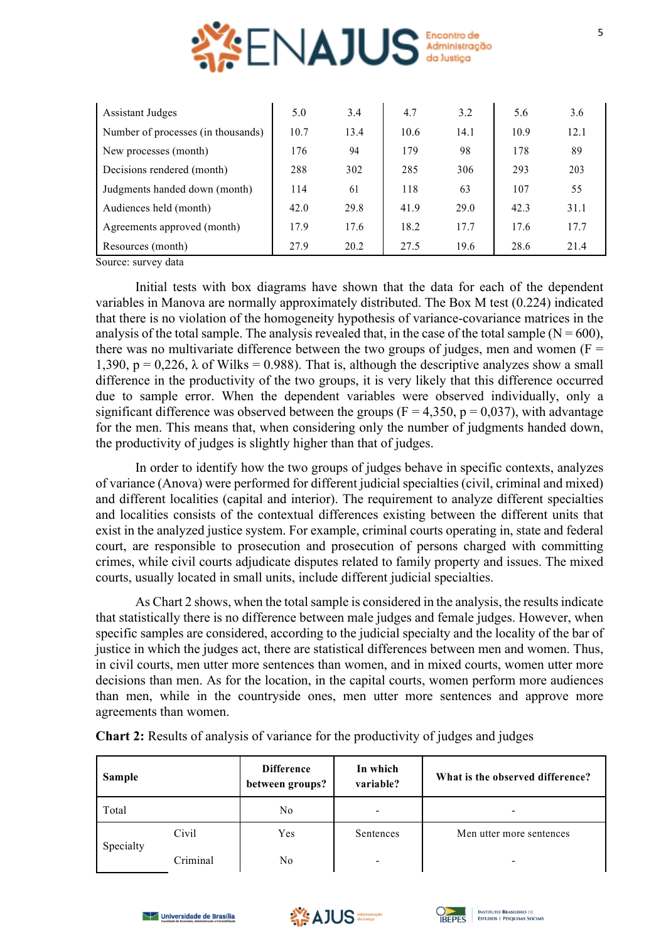

| <b>Assistant Judges</b>            | 5.0  | 3.4  | 4.7  | 3.2  | 5.6  | 3.6  |
|------------------------------------|------|------|------|------|------|------|
| Number of processes (in thousands) | 10.7 | 13.4 | 10.6 | 14.1 | 10.9 | 12.1 |
| New processes (month)              | 176  | 94   | 179  | 98   | 178  | 89   |
| Decisions rendered (month)         | 288  | 302  | 285  | 306  | 293  | 203  |
| Judgments handed down (month)      | 114  | 61   | 118  | 63   | 107  | 55   |
| Audiences held (month)             | 42.0 | 29.8 | 41.9 | 29.0 | 42.3 | 31.1 |
| Agreements approved (month)        | 17.9 | 17.6 | 18.2 | 17.7 | 17.6 | 17.7 |
| Resources (month)                  | 27.9 | 20.2 | 27.5 | 19.6 | 28.6 | 21.4 |

Source: survey data

Initial tests with box diagrams have shown that the data for each of the dependent variables in Manova are normally approximately distributed. The Box M test (0.224) indicated that there is no violation of the homogeneity hypothesis of variance-covariance matrices in the analysis of the total sample. The analysis revealed that, in the case of the total sample  $(N = 600)$ , there was no multivariate difference between the two groups of judges, men and women ( $F =$ 1,390,  $p = 0,226$ ,  $\lambda$  of Wilks = 0.988). That is, although the descriptive analyzes show a small difference in the productivity of the two groups, it is very likely that this difference occurred due to sample error. When the dependent variables were observed individually, only a significant difference was observed between the groups ( $F = 4,350$ ,  $p = 0,037$ ), with advantage for the men. This means that, when considering only the number of judgments handed down, the productivity of judges is slightly higher than that of judges.

In order to identify how the two groups of judges behave in specific contexts, analyzes of variance (Anova) were performed for different judicial specialties (civil, criminal and mixed) and different localities (capital and interior). The requirement to analyze different specialties and localities consists of the contextual differences existing between the different units that exist in the analyzed justice system. For example, criminal courts operating in, state and federal court, are responsible to prosecution and prosecution of persons charged with committing crimes, while civil courts adjudicate disputes related to family property and issues. The mixed courts, usually located in small units, include different judicial specialties.

As Chart 2 shows, when the total sample is considered in the analysis, the results indicate that statistically there is no difference between male judges and female judges. However, when specific samples are considered, according to the judicial specialty and the locality of the bar of justice in which the judges act, there are statistical differences between men and women. Thus, in civil courts, men utter more sentences than women, and in mixed courts, women utter more decisions than men. As for the location, in the capital courts, women perform more audiences than men, while in the countryside ones, men utter more sentences and approve more agreements than women.

| <b>Sample</b> |          | Difference<br>between groups? | In which<br>variable?    | What is the observed difference? |  |  |
|---------------|----------|-------------------------------|--------------------------|----------------------------------|--|--|
| Total         |          | No                            | $\overline{\phantom{a}}$ |                                  |  |  |
| Specialty     | Civil    | Yes                           | Sentences                | Men utter more sentences         |  |  |
|               | Criminal | No                            | -                        |                                  |  |  |

**Chart 2:** Results of analysis of variance for the productivity of judges and judges





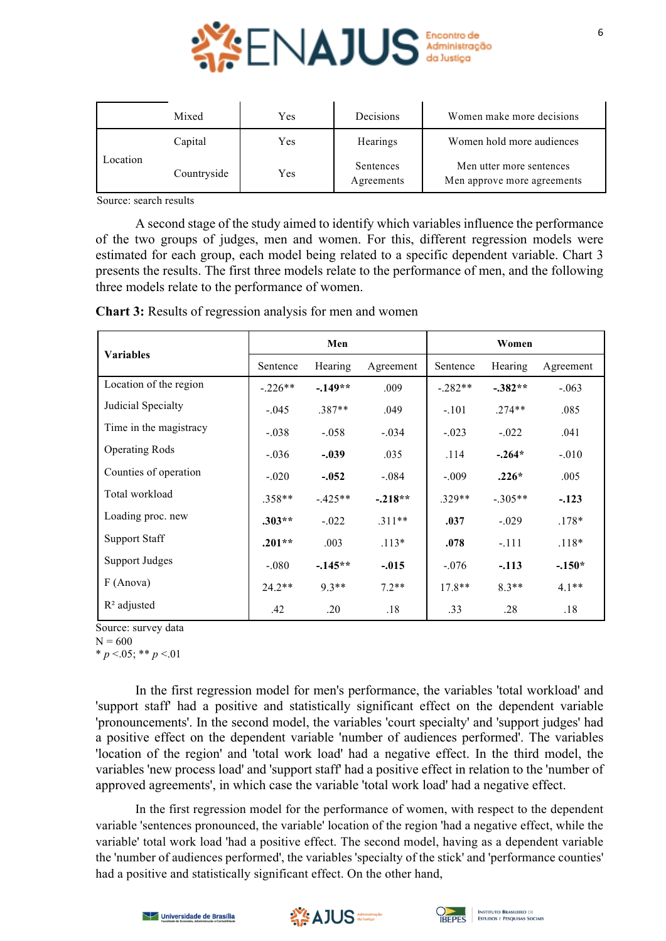

|          | Mixed       | Yes | Decisions               | Women make more decisions                               |
|----------|-------------|-----|-------------------------|---------------------------------------------------------|
| Location | Capital     | Yes |                         | Women hold more audiences                               |
|          | Countryside | Yes | Sentences<br>Agreements | Men utter more sentences<br>Men approve more agreements |

Source: search results

A second stage of the study aimed to identify which variables influence the performance of the two groups of judges, men and women. For this, different regression models were estimated for each group, each model being related to a specific dependent variable. Chart 3 presents the results. The first three models relate to the performance of men, and the following three models relate to the performance of women.

|                        | Men       |           |           | Women     |           |           |  |
|------------------------|-----------|-----------|-----------|-----------|-----------|-----------|--|
| <b>Variables</b>       | Sentence  | Hearing   | Agreement | Sentence  | Hearing   | Agreement |  |
| Location of the region | $-.226**$ | $-.149**$ | .009      | $-.282**$ | $-.382**$ | $-.063$   |  |
| Judicial Specialty     | $-.045$   | $.387**$  | .049      | $-.101$   | $.274**$  | .085      |  |
| Time in the magistracy | $-.038$   | $-.058$   | $-.034$   | $-.023$   | $-.022$   | .041      |  |
| <b>Operating Rods</b>  | $-.036$   | $-.039$   | .035      | .114      | $-.264*$  | $-.010$   |  |
| Counties of operation  | $-.020$   | $-.052$   | $-.084$   | $-.009$   | $.226*$   | .005      |  |
| Total workload         | $.358**$  | $-425**$  | $-.218**$ | $.329**$  | $-.305**$ | $-.123$   |  |
| Loading proc. new      | $.303**$  | $-.022$   | $.311**$  | .037      | $-.029$   | $.178*$   |  |
| <b>Support Staff</b>   | $.201**$  | .003      | $.113*$   | .078      | $-.111$   | $.118*$   |  |
| <b>Support Judges</b>  | $-080$    | $-145**$  | $-.015$   | $-.076$   | $-.113$   | $-.150*$  |  |
| F (Anova)              | $24.2**$  | $9.3**$   | $7.2**$   | $17.8**$  | $8.3**$   | $4.1**$   |  |
| $R2$ adjusted          | .42       | .20       | .18       | .33       | .28       | .18       |  |

**Chart 3:** Results of regression analysis for men and women

Source: survey data

 $N = 600$ 

 $* p < 0.05; ** p < 0.01$ 

In the first regression model for men's performance, the variables 'total workload' and 'support staff' had a positive and statistically significant effect on the dependent variable 'pronouncements'. In the second model, the variables 'court specialty' and 'support judges' had a positive effect on the dependent variable 'number of audiences performed'. The variables 'location of the region' and 'total work load' had a negative effect. In the third model, the variables 'new process load' and 'support staff' had a positive effect in relation to the 'number of approved agreements', in which case the variable 'total work load' had a negative effect.

In the first regression model for the performance of women, with respect to the dependent variable 'sentences pronounced, the variable' location of the region 'had a negative effect, while the variable' total work load 'had a positive effect. The second model, having as a dependent variable the 'number of audiences performed', the variables 'specialty of the stick' and 'performance counties' had a positive and statistically significant effect. On the other hand,

6





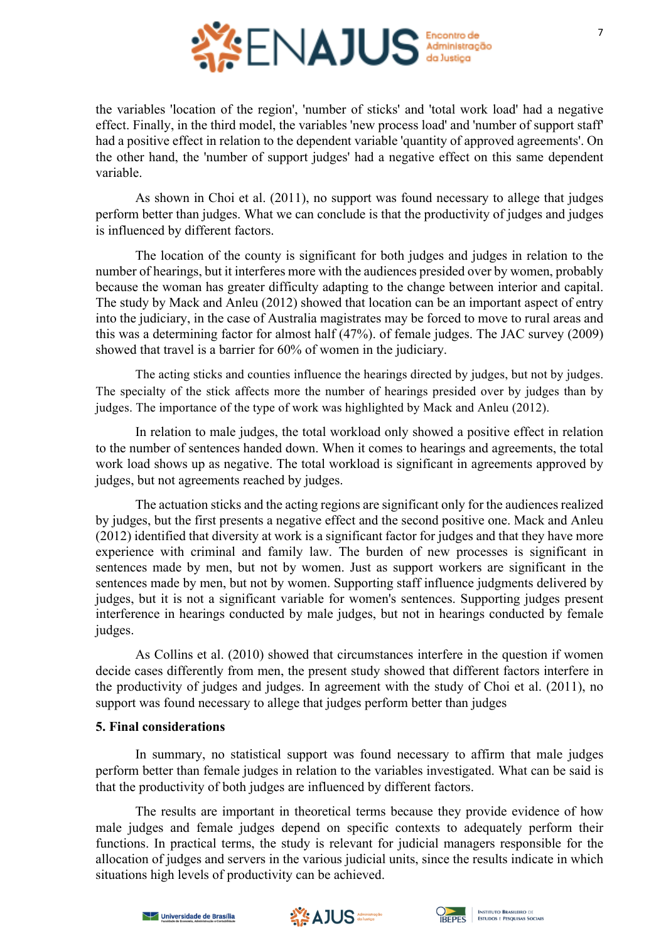

the variables 'location of the region', 'number of sticks' and 'total work load' had a negative effect. Finally, in the third model, the variables 'new process load' and 'number of support staff' had a positive effect in relation to the dependent variable 'quantity of approved agreements'. On the other hand, the 'number of support judges' had a negative effect on this same dependent variable.

As shown in Choi et al. (2011), no support was found necessary to allege that judges perform better than judges. What we can conclude is that the productivity of judges and judges is influenced by different factors.

The location of the county is significant for both judges and judges in relation to the number of hearings, but it interferes more with the audiences presided over by women, probably because the woman has greater difficulty adapting to the change between interior and capital. The study by Mack and Anleu (2012) showed that location can be an important aspect of entry into the judiciary, in the case of Australia magistrates may be forced to move to rural areas and this was a determining factor for almost half (47%). of female judges. The JAC survey (2009) showed that travel is a barrier for 60% of women in the judiciary.

The acting sticks and counties influence the hearings directed by judges, but not by judges. The specialty of the stick affects more the number of hearings presided over by judges than by judges. The importance of the type of work was highlighted by Mack and Anleu (2012).

In relation to male judges, the total workload only showed a positive effect in relation to the number of sentences handed down. When it comes to hearings and agreements, the total work load shows up as negative. The total workload is significant in agreements approved by judges, but not agreements reached by judges.

The actuation sticks and the acting regions are significant only for the audiences realized by judges, but the first presents a negative effect and the second positive one. Mack and Anleu (2012) identified that diversity at work is a significant factor for judges and that they have more experience with criminal and family law. The burden of new processes is significant in sentences made by men, but not by women. Just as support workers are significant in the sentences made by men, but not by women. Supporting staff influence judgments delivered by judges, but it is not a significant variable for women's sentences. Supporting judges present interference in hearings conducted by male judges, but not in hearings conducted by female judges.

As Collins et al. (2010) showed that circumstances interfere in the question if women decide cases differently from men, the present study showed that different factors interfere in the productivity of judges and judges. In agreement with the study of Choi et al. (2011), no support was found necessary to allege that judges perform better than judges

# **5. Final considerations**

In summary, no statistical support was found necessary to affirm that male judges perform better than female judges in relation to the variables investigated. What can be said is that the productivity of both judges are influenced by different factors.

The results are important in theoretical terms because they provide evidence of how male judges and female judges depend on specific contexts to adequately perform their functions. In practical terms, the study is relevant for judicial managers responsible for the allocation of judges and servers in the various judicial units, since the results indicate in which situations high levels of productivity can be achieved.





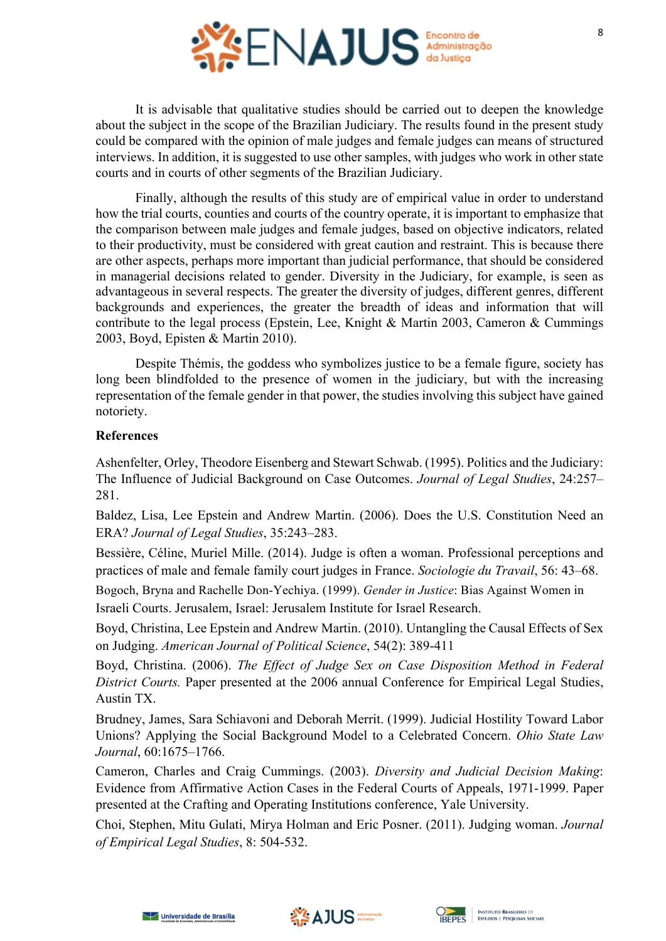

It is advisable that qualitative studies should be carried out to deepen the knowledge about the subject in the scope of the Brazilian Judiciary. The results found in the present study could be compared with the opinion of male judges and female judges can means of structured interviews. In addition, it is suggested to use other samples, with judges who work in other state courts and in courts of other segments of the Brazilian Judiciary.

Finally, although the results of this study are of empirical value in order to understand how the trial courts, counties and courts of the country operate, it is important to emphasize that the comparison between male judges and female judges, based on objective indicators, related to their productivity, must be considered with great caution and restraint. This is because there are other aspects, perhaps more important than judicial performance, that should be considered in managerial decisions related to gender. Diversity in the Judiciary, for example, is seen as advantageous in several respects. The greater the diversity of judges, different genres, different backgrounds and experiences, the greater the breadth of ideas and information that will contribute to the legal process (Epstein, Lee, Knight & Martin 2003, Cameron & Cummings 2003, Boyd, Episten & Martin 2010).

Despite Thémis, the goddess who symbolizes justice to be a female figure, society has long been blindfolded to the presence of women in the judiciary, but with the increasing representation of the female gender in that power, the studies involving this subject have gained notoriety.

## **References**

Ashenfelter, Orley, Theodore Eisenberg and Stewart Schwab. (1995). Politics and the Judiciary: The Influence of Judicial Background on Case Outcomes. *Journal of Legal Studies*, 24:257– 281.

Baldez, Lisa, Lee Epstein and Andrew Martin. (2006). Does the U.S. Constitution Need an ERA? *Journal of Legal Studies*, 35:243–283.

Bessière, Céline, Muriel Mille. (2014). Judge is often a woman. Professional perceptions and practices of male and female family court judges in France. *Sociologie du Travail*, 56: 43–68.

Bogoch, Bryna and Rachelle Don-Yechiya. (1999). *Gender in Justice*: Bias Against Women in Israeli Courts. Jerusalem, Israel: Jerusalem Institute for Israel Research.

Boyd, Christina, Lee Epstein and Andrew Martin. (2010). Untangling the Causal Effects of Sex on Judging. *American Journal of Political Science*, 54(2): 389-411

Boyd, Christina. (2006). *The Effect of Judge Sex on Case Disposition Method in Federal District Courts.* Paper presented at the 2006 annual Conference for Empirical Legal Studies, Austin TX.

Brudney, James, Sara Schiavoni and Deborah Merrit. (1999). Judicial Hostility Toward Labor Unions? Applying the Social Background Model to a Celebrated Concern. *Ohio State Law Journal*, 60:1675–1766.

Cameron, Charles and Craig Cummings. (2003). *Diversity and Judicial Decision Making*: Evidence from Affirmative Action Cases in the Federal Courts of Appeals, 1971-1999. Paper presented at the Crafting and Operating Institutions conference, Yale University.

Choi, Stephen, Mitu Gulati, Mirya Holman and Eric Posner. (2011). Judging woman. *Journal of Empirical Legal Studies*, 8: 504-532.





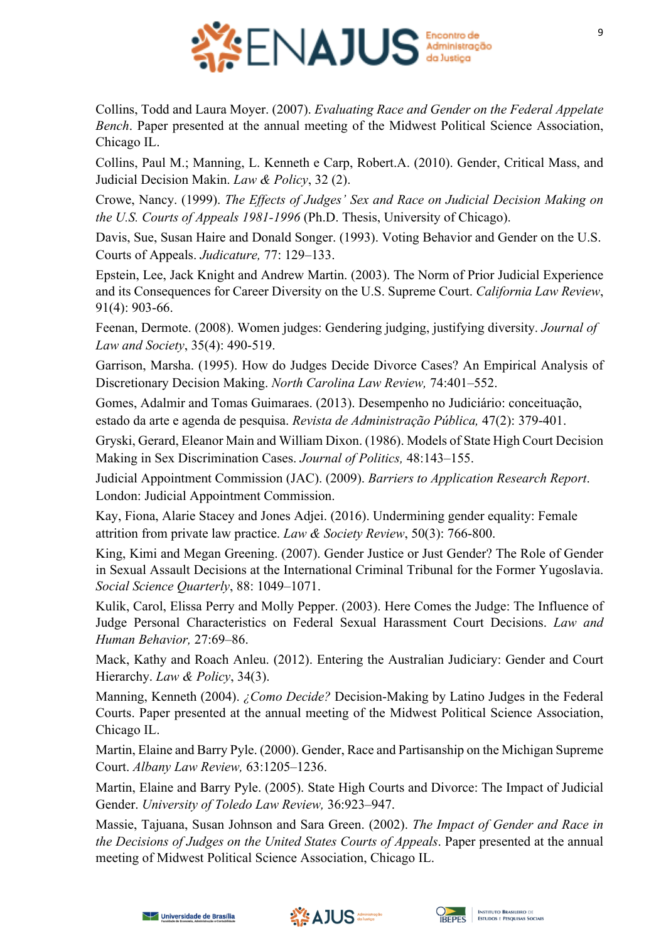

Collins, Todd and Laura Moyer. (2007). *Evaluating Race and Gender on the Federal Appelate Bench*. Paper presented at the annual meeting of the Midwest Political Science Association, Chicago IL.

Collins, Paul M.; Manning, L. Kenneth e Carp, Robert.A. (2010). Gender, Critical Mass, and Judicial Decision Makin. *Law & Policy*, 32 (2).

Crowe, Nancy. (1999). *The Effects of Judges' Sex and Race on Judicial Decision Making on the U.S. Courts of Appeals 1981-1996* (Ph.D. Thesis, University of Chicago).

Davis, Sue, Susan Haire and Donald Songer. (1993). Voting Behavior and Gender on the U.S. Courts of Appeals. *Judicature,* 77: 129–133.

Epstein, Lee, Jack Knight and Andrew Martin. (2003). The Norm of Prior Judicial Experience and its Consequences for Career Diversity on the U.S. Supreme Court. *California Law Review*, 91(4): 903-66.

Feenan, Dermote. (2008). Women judges: Gendering judging, justifying diversity. *Journal of Law and Society*, 35(4): 490-519.

Garrison, Marsha. (1995). How do Judges Decide Divorce Cases? An Empirical Analysis of Discretionary Decision Making. *North Carolina Law Review,* 74:401–552.

Gomes, Adalmir and Tomas Guimaraes. (2013). Desempenho no Judiciário: conceituação, estado da arte e agenda de pesquisa. *Revista de Administração Pública,* 47(2): 379-401.

Gryski, Gerard, Eleanor Main and William Dixon. (1986). Models of State High Court Decision Making in Sex Discrimination Cases. *Journal of Politics,* 48:143–155.

Judicial Appointment Commission (JAC). (2009). *Barriers to Application Research Report*. London: Judicial Appointment Commission.

Kay, Fiona, Alarie Stacey and Jones Adjei. (2016). Undermining gender equality: Female attrition from private law practice. *Law & Society Review*, 50(3): 766-800.

King, Kimi and Megan Greening. (2007). Gender Justice or Just Gender? The Role of Gender in Sexual Assault Decisions at the International Criminal Tribunal for the Former Yugoslavia. *Social Science Quarterly*, 88: 1049–1071.

Kulik, Carol, Elissa Perry and Molly Pepper. (2003). Here Comes the Judge: The Influence of Judge Personal Characteristics on Federal Sexual Harassment Court Decisions. *Law and Human Behavior,* 27:69–86.

Mack, Kathy and Roach Anleu. (2012). Entering the Australian Judiciary: Gender and Court Hierarchy. *Law & Policy*, 34(3).

Manning, Kenneth (2004). *¿Como Decide?* Decision-Making by Latino Judges in the Federal Courts. Paper presented at the annual meeting of the Midwest Political Science Association, Chicago IL.

Martin, Elaine and Barry Pyle. (2000). Gender, Race and Partisanship on the Michigan Supreme Court. *Albany Law Review,* 63:1205–1236.

Martin, Elaine and Barry Pyle. (2005). State High Courts and Divorce: The Impact of Judicial Gender. *University of Toledo Law Review,* 36:923–947.

Massie, Tajuana, Susan Johnson and Sara Green. (2002). *The Impact of Gender and Race in the Decisions of Judges on the United States Courts of Appeals*. Paper presented at the annual meeting of Midwest Political Science Association, Chicago IL.